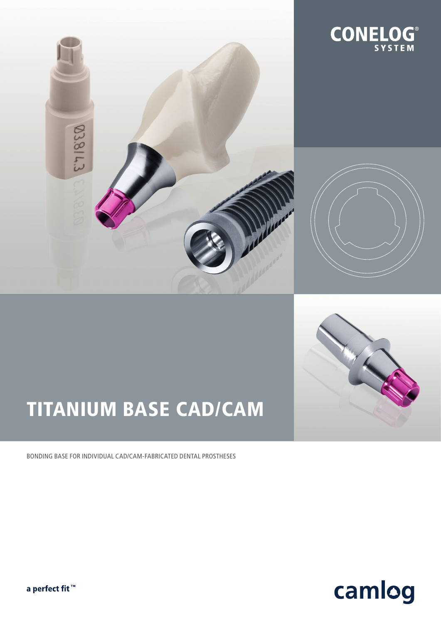





# TITANIUM BASE CAD/CAM

BONDING BASE FOR INDIVIDUAL CAD/CAM-FABRICATED DENTAL PROSTHESES



a perfect fit™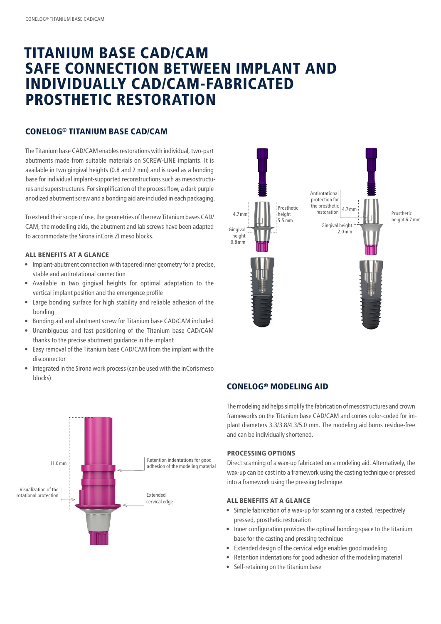# TITANIUM BASE CAD/CAM SAFE CONNECTION BETWEEN IMPLANT AND INDIVIDUALLY CAD/CAM-FABRICATED PROSTHETIC RESTORATION

### CONELOG® TITANIUM BASE CAD/CAM

The Titanium base CAD/CAM enables restorations with individual, two-part abutments made from suitable materials on SCREW-LINE implants. It is available in two gingival heights (0.8 and 2 mm) and is used as a bonding base for individual implant-supported reconstructions such as mesostructures and superstructures. For simplification of the process flow, a dark purple anodized abutment screw and a bonding aid are included in each packaging.

To extend their scope of use, the geometries of the new Titanium bases CAD/ CAM, the modelling aids, the abutment and lab screws have been adapted to accommodate the Sirona inCoris ZI meso blocks.

#### ALL BENEFITS AT A GLANCE

- Implant-abutment connection with tapered inner geometry for a precise, stable and antirotational connection
- Available in two gingival heights for optimal adaptation to the vertical implant position and the emergence profile
- Large bonding surface for high stability and reliable adhesion of the bonding
- Bonding aid and abutment screw for Titanium base CAD/CAM included
- Unambiguous and fast positioning of the Titanium base CAD/CAM thanks to the precise abutment guidance in the implant
- Easy removal of the Titanium base CAD/CAM from the implant with the disconnector
- Integrated in the Sirona work process (can be used with the inCoris meso blocks)





# CONELOG® MODELING AID

The modeling aid helps simplify the fabrication of mesostructures and crown frameworks on the Titanium base CAD/CAM and comes color-coded for implant diameters 3.3/3.8/4.3/5.0 mm. The modeling aid burns residue-free and can be individually shortened.

#### PROCESSING OPTIONS

Direct scanning of a wax-up fabricated on a modeling aid. Alternatively, the wax-up can be cast into a framework using the casting technique or pressed into a framework using the pressing technique.

#### ALL BENEFITS AT A GLANCE

- Simple fabrication of a wax-up for scanning or a casted, respectively pressed, prosthetic restoration
- Inner configuration provides the optimal bonding space to the titanium base for the casting and pressing technique
- Extended design of the cervical edge enables good modeling
- Retention indentations for good adhesion of the modeling material
- Self-retaining on the titanium base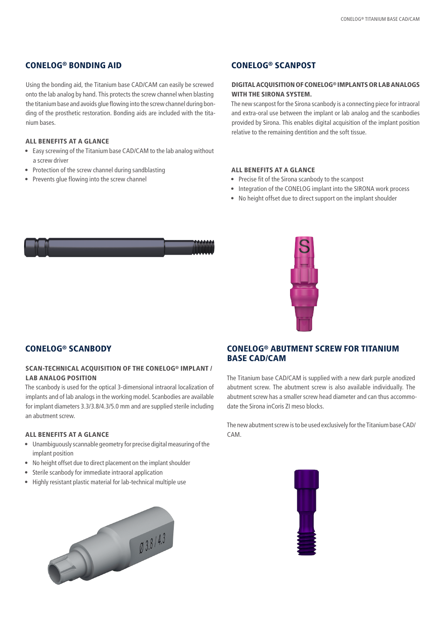## CONELOG® BONDING AID

Using the bonding aid, the Titanium base CAD/CAM can easily be screwed onto the lab analog by hand. This protects the screw channel when blasting the titanium base and avoids glue flowing into the screw channel during bonding of the prosthetic restoration. Bonding aids are included with the titanium bases.

#### ALL BENEFITS AT A GLANCE

- Easy screwing of the Titanium base CAD/CAM to the lab analog without a screw driver
- Protection of the screw channel during sandblasting
- Prevents glue flowing into the screw channel

#### CONELOG® SCANPOST

#### DIGITAL ACQUISITION OF CONELOG® IMPLANTS OR LAB ANALOGS WITH THE SIRONA SYSTEM.

The new scanpost for the Sirona scanbody is a connecting piece for intraoral and extra-oral use between the implant or lab analog and the scanbodies provided by Sirona. This enables digital acquisition of the implant position relative to the remaining dentition and the soft tissue.

#### ALL BENEFITS AT A GLANCE

- Precise fit of the Sirona scanbody to the scanpost
- Integration of the CONELOG implant into the SIRONA work process
- No height offset due to direct support on the implant shoulder





## CONELOG® SCANBODY

#### SCAN-TECHNICAL ACQUISITION OF THE CONELOG® IMPLANT / LAB ANALOG POSITION

The scanbody is used for the optical 3-dimensional intraoral localization of implants and of lab analogs in the working model. Scanbodies are available for implant diameters 3.3/3.8/4.3/5.0 mm and are supplied sterile including an abutment screw.

#### ALL BENEFITS AT A GLANCE

- Unambiguously scannable geometry for precise digital measuring of the implant position
- No height offset due to direct placement on the implant shoulder
- Sterile scanbody for immediate intraoral application
- Highly resistant plastic material for lab-technical multiple use



# CONELOG® ABUTMENT SCREW FOR TITANIUM BASE CAD/CAM

The Titanium base CAD/CAM is supplied with a new dark purple anodized abutment screw. The abutment screw is also available individually. The abutment screw has a smaller screw head diameter and can thus accommodate the Sirona inCoris ZI meso blocks.

The new abutment screw is to be used exclusively for the Titanium base CAD/ CAM.